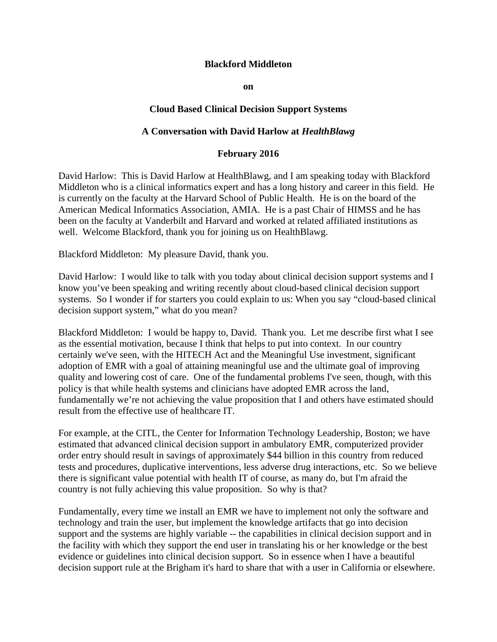## **Blackford Middleton**

**on** 

## **Cloud Based Clinical Decision Support Systems**

## **A Conversation with David Harlow at** *HealthBlawg*

## **February 2016**

David Harlow: This is David Harlow at HealthBlawg, and I am speaking today with Blackford Middleton who is a clinical informatics expert and has a long history and career in this field. He is currently on the faculty at the Harvard School of Public Health. He is on the board of the American Medical Informatics Association, AMIA. He is a past Chair of HIMSS and he has been on the faculty at Vanderbilt and Harvard and worked at related affiliated institutions as well. Welcome Blackford, thank you for joining us on HealthBlawg.

Blackford Middleton: My pleasure David, thank you.

David Harlow: I would like to talk with you today about clinical decision support systems and I know you've been speaking and writing recently about cloud-based clinical decision support systems. So I wonder if for starters you could explain to us: When you say "cloud-based clinical decision support system," what do you mean?

Blackford Middleton: I would be happy to, David. Thank you. Let me describe first what I see as the essential motivation, because I think that helps to put into context. In our country certainly we've seen, with the HITECH Act and the Meaningful Use investment, significant adoption of EMR with a goal of attaining meaningful use and the ultimate goal of improving quality and lowering cost of care. One of the fundamental problems I've seen, though, with this policy is that while health systems and clinicians have adopted EMR across the land, fundamentally we're not achieving the value proposition that I and others have estimated should result from the effective use of healthcare IT.

For example, at the CITL, the Center for Information Technology Leadership, Boston; we have estimated that advanced clinical decision support in ambulatory EMR, computerized provider order entry should result in savings of approximately \$44 billion in this country from reduced tests and procedures, duplicative interventions, less adverse drug interactions, etc. So we believe there is significant value potential with health IT of course, as many do, but I'm afraid the country is not fully achieving this value proposition. So why is that?

Fundamentally, every time we install an EMR we have to implement not only the software and technology and train the user, but implement the knowledge artifacts that go into decision support and the systems are highly variable -- the capabilities in clinical decision support and in the facility with which they support the end user in translating his or her knowledge or the best evidence or guidelines into clinical decision support. So in essence when I have a beautiful decision support rule at the Brigham it's hard to share that with a user in California or elsewhere.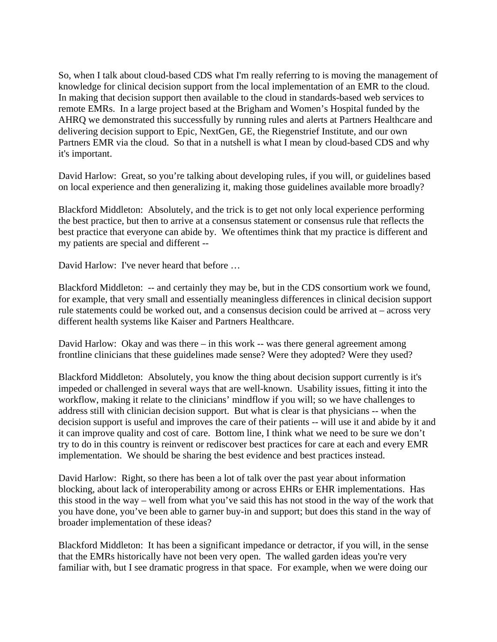So, when I talk about cloud-based CDS what I'm really referring to is moving the management of knowledge for clinical decision support from the local implementation of an EMR to the cloud. In making that decision support then available to the cloud in standards-based web services to remote EMRs. In a large project based at the Brigham and Women's Hospital funded by the AHRQ we demonstrated this successfully by running rules and alerts at Partners Healthcare and delivering decision support to Epic, NextGen, GE, the Riegenstrief Institute, and our own Partners EMR via the cloud. So that in a nutshell is what I mean by cloud-based CDS and why it's important.

David Harlow: Great, so you're talking about developing rules, if you will, or guidelines based on local experience and then generalizing it, making those guidelines available more broadly?

Blackford Middleton: Absolutely, and the trick is to get not only local experience performing the best practice, but then to arrive at a consensus statement or consensus rule that reflects the best practice that everyone can abide by. We oftentimes think that my practice is different and my patients are special and different --

David Harlow: I've never heard that before …

Blackford Middleton: -- and certainly they may be, but in the CDS consortium work we found, for example, that very small and essentially meaningless differences in clinical decision support rule statements could be worked out, and a consensus decision could be arrived at – across very different health systems like Kaiser and Partners Healthcare.

David Harlow: Okay and was there – in this work -- was there general agreement among frontline clinicians that these guidelines made sense? Were they adopted? Were they used?

Blackford Middleton: Absolutely, you know the thing about decision support currently is it's impeded or challenged in several ways that are well-known. Usability issues, fitting it into the workflow, making it relate to the clinicians' mindflow if you will; so we have challenges to address still with clinician decision support. But what is clear is that physicians -- when the decision support is useful and improves the care of their patients -- will use it and abide by it and it can improve quality and cost of care. Bottom line, I think what we need to be sure we don't try to do in this country is reinvent or rediscover best practices for care at each and every EMR implementation. We should be sharing the best evidence and best practices instead.

David Harlow: Right, so there has been a lot of talk over the past year about information blocking, about lack of interoperability among or across EHRs or EHR implementations. Has this stood in the way – well from what you've said this has not stood in the way of the work that you have done, you've been able to garner buy-in and support; but does this stand in the way of broader implementation of these ideas?

Blackford Middleton: It has been a significant impedance or detractor, if you will, in the sense that the EMRs historically have not been very open. The walled garden ideas you're very familiar with, but I see dramatic progress in that space. For example, when we were doing our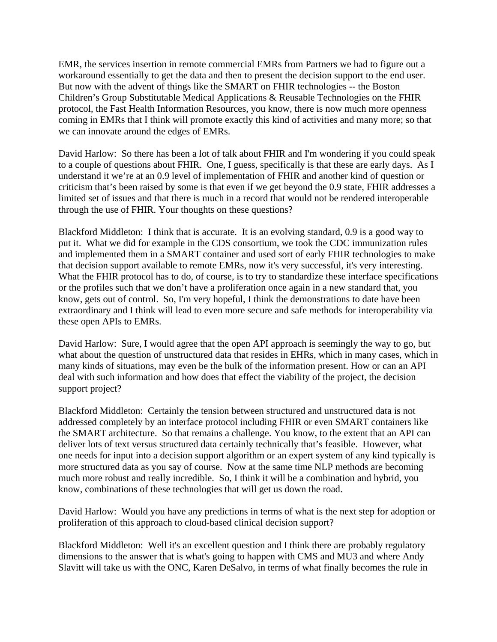EMR, the services insertion in remote commercial EMRs from Partners we had to figure out a workaround essentially to get the data and then to present the decision support to the end user. But now with the advent of things like the SMART on FHIR technologies -- the Boston Children's Group Substitutable Medical Applications & Reusable Technologies on the FHIR protocol, the Fast Health Information Resources, you know, there is now much more openness coming in EMRs that I think will promote exactly this kind of activities and many more; so that we can innovate around the edges of EMRs.

David Harlow: So there has been a lot of talk about FHIR and I'm wondering if you could speak to a couple of questions about FHIR. One, I guess, specifically is that these are early days. As I understand it we're at an 0.9 level of implementation of FHIR and another kind of question or criticism that's been raised by some is that even if we get beyond the 0.9 state, FHIR addresses a limited set of issues and that there is much in a record that would not be rendered interoperable through the use of FHIR. Your thoughts on these questions?

Blackford Middleton: I think that is accurate. It is an evolving standard, 0.9 is a good way to put it. What we did for example in the CDS consortium, we took the CDC immunization rules and implemented them in a SMART container and used sort of early FHIR technologies to make that decision support available to remote EMRs, now it's very successful, it's very interesting. What the FHIR protocol has to do, of course, is to try to standardize these interface specifications or the profiles such that we don't have a proliferation once again in a new standard that, you know, gets out of control. So, I'm very hopeful, I think the demonstrations to date have been extraordinary and I think will lead to even more secure and safe methods for interoperability via these open APIs to EMRs.

David Harlow: Sure, I would agree that the open API approach is seemingly the way to go, but what about the question of unstructured data that resides in EHRs, which in many cases, which in many kinds of situations, may even be the bulk of the information present. How or can an API deal with such information and how does that effect the viability of the project, the decision support project?

Blackford Middleton: Certainly the tension between structured and unstructured data is not addressed completely by an interface protocol including FHIR or even SMART containers like the SMART architecture. So that remains a challenge. You know, to the extent that an API can deliver lots of text versus structured data certainly technically that's feasible. However, what one needs for input into a decision support algorithm or an expert system of any kind typically is more structured data as you say of course. Now at the same time NLP methods are becoming much more robust and really incredible. So, I think it will be a combination and hybrid, you know, combinations of these technologies that will get us down the road.

David Harlow: Would you have any predictions in terms of what is the next step for adoption or proliferation of this approach to cloud-based clinical decision support?

Blackford Middleton: Well it's an excellent question and I think there are probably regulatory dimensions to the answer that is what's going to happen with CMS and MU3 and where Andy Slavitt will take us with the ONC, Karen DeSalvo, in terms of what finally becomes the rule in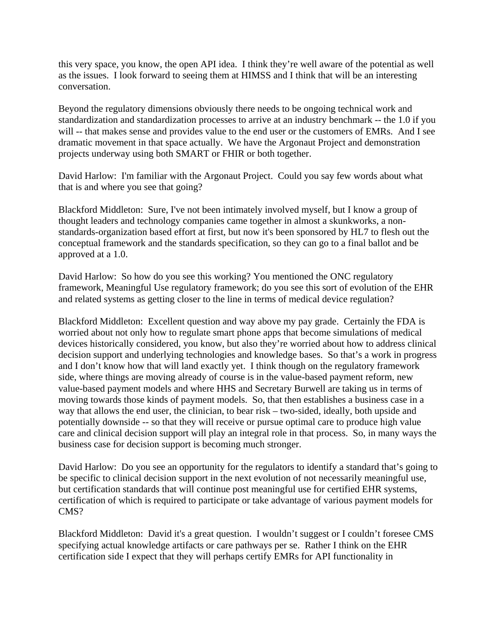this very space, you know, the open API idea. I think they're well aware of the potential as well as the issues. I look forward to seeing them at HIMSS and I think that will be an interesting conversation.

Beyond the regulatory dimensions obviously there needs to be ongoing technical work and standardization and standardization processes to arrive at an industry benchmark -- the 1.0 if you will -- that makes sense and provides value to the end user or the customers of EMRs. And I see dramatic movement in that space actually. We have the Argonaut Project and demonstration projects underway using both SMART or FHIR or both together.

David Harlow: I'm familiar with the Argonaut Project. Could you say few words about what that is and where you see that going?

Blackford Middleton: Sure, I've not been intimately involved myself, but I know a group of thought leaders and technology companies came together in almost a skunkworks, a nonstandards-organization based effort at first, but now it's been sponsored by HL7 to flesh out the conceptual framework and the standards specification, so they can go to a final ballot and be approved at a 1.0.

David Harlow: So how do you see this working? You mentioned the ONC regulatory framework, Meaningful Use regulatory framework; do you see this sort of evolution of the EHR and related systems as getting closer to the line in terms of medical device regulation?

Blackford Middleton: Excellent question and way above my pay grade. Certainly the FDA is worried about not only how to regulate smart phone apps that become simulations of medical devices historically considered, you know, but also they're worried about how to address clinical decision support and underlying technologies and knowledge bases. So that's a work in progress and I don't know how that will land exactly yet. I think though on the regulatory framework side, where things are moving already of course is in the value-based payment reform, new value-based payment models and where HHS and Secretary Burwell are taking us in terms of moving towards those kinds of payment models. So, that then establishes a business case in a way that allows the end user, the clinician, to bear risk – two-sided, ideally, both upside and potentially downside -- so that they will receive or pursue optimal care to produce high value care and clinical decision support will play an integral role in that process. So, in many ways the business case for decision support is becoming much stronger.

David Harlow: Do you see an opportunity for the regulators to identify a standard that's going to be specific to clinical decision support in the next evolution of not necessarily meaningful use, but certification standards that will continue post meaningful use for certified EHR systems, certification of which is required to participate or take advantage of various payment models for CMS?

Blackford Middleton: David it's a great question. I wouldn't suggest or I couldn't foresee CMS specifying actual knowledge artifacts or care pathways per se. Rather I think on the EHR certification side I expect that they will perhaps certify EMRs for API functionality in